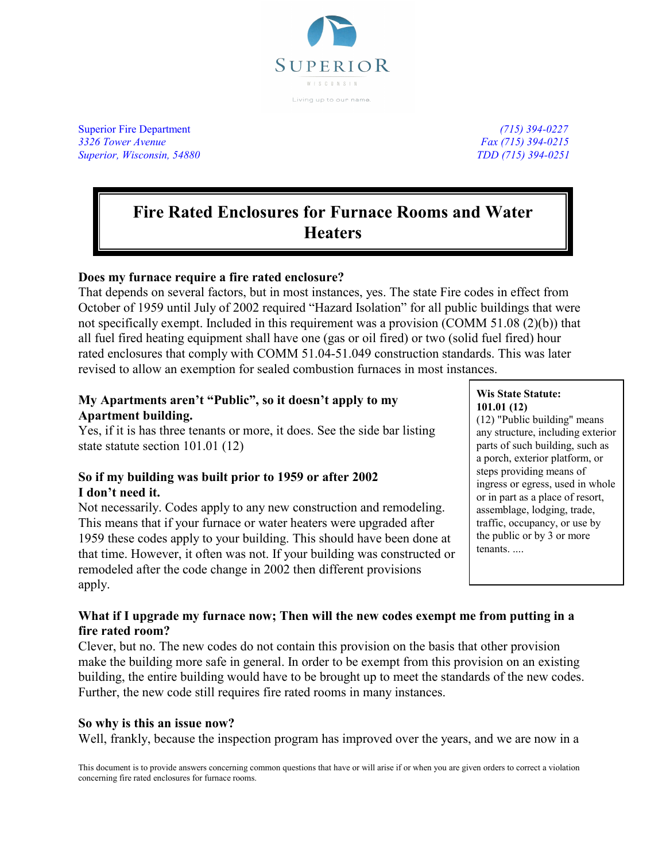

Superior Fire Department *(715) 394-0227 3326 Tower Avenue Fax (715) 394-0215 Superior, Wisconsin, 54880 TDD (715) 394-0251*

# **Fire Rated Enclosures for Furnace Rooms and Water Heaters**

# **Does my furnace require a fire rated enclosure?**

That depends on several factors, but in most instances, yes. The state Fire codes in effect from October of 1959 until July of 2002 required "Hazard Isolation" for all public buildings that were not specifically exempt. Included in this requirement was a provision (COMM 51.08 (2)(b)) that all fuel fired heating equipment shall have one (gas or oil fired) or two (solid fuel fired) hour rated enclosures that comply with COMM 51.04-51.049 construction standards. This was later revised to allow an exemption for sealed combustion furnaces in most instances.

# **My Apartments aren't "Public", so it doesn't apply to my Apartment building.**

Yes, if it is has three tenants or more, it does. See the side bar listing state statute section 101.01 (12)

# **So if my building was built prior to 1959 or after 2002 I don't need it.**

Not necessarily. Codes apply to any new construction and remodeling. This means that if your furnace or water heaters were upgraded after 1959 these codes apply to your building. This should have been done at that time. However, it often was not. If your building was constructed or remodeled after the code change in 2002 then different provisions apply.

#### **Wis State Statute: 101.01 (12)**

(12) "Public building" means any structure, including exterior parts of such building, such as a porch, exterior platform, or steps providing means of ingress or egress, used in whole or in part as a place of resort, assemblage, lodging, trade, traffic, occupancy, or use by the public or by 3 or more tenants. ....

# **What if I upgrade my furnace now; Then will the new codes exempt me from putting in a fire rated room?**

Clever, but no. The new codes do not contain this provision on the basis that other provision make the building more safe in general. In order to be exempt from this provision on an existing building, the entire building would have to be brought up to meet the standards of the new codes. Further, the new code still requires fire rated rooms in many instances.

# **So why is this an issue now?**

Well, frankly, because the inspection program has improved over the years, and we are now in a

This document is to provide answers concerning common questions that have or will arise if or when you are given orders to correct a violation concerning fire rated enclosures for furnace rooms.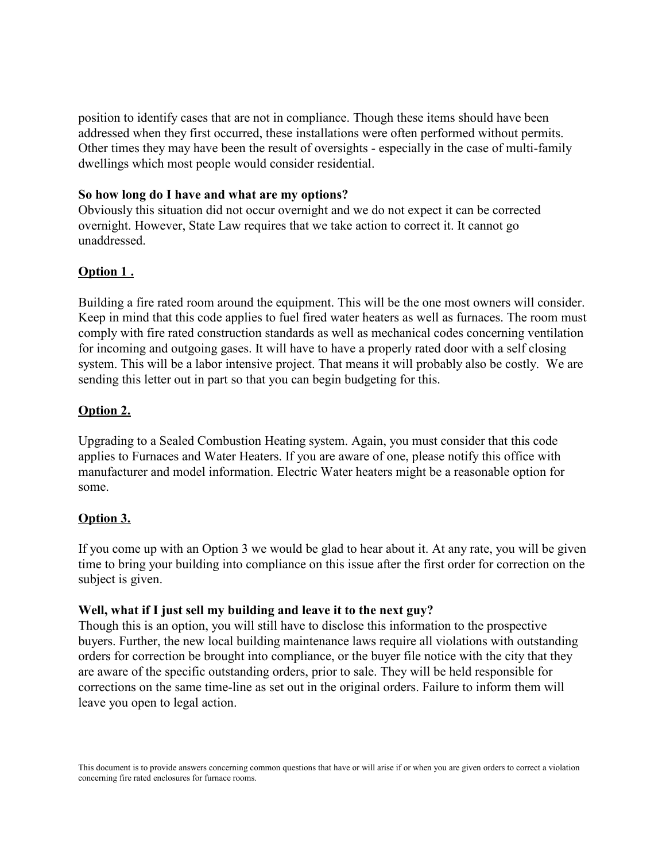position to identify cases that are not in compliance. Though these items should have been addressed when they first occurred, these installations were often performed without permits. Other times they may have been the result of oversights - especially in the case of multi-family dwellings which most people would consider residential.

#### **So how long do I have and what are my options?**

Obviously this situation did not occur overnight and we do not expect it can be corrected overnight. However, State Law requires that we take action to correct it. It cannot go unaddressed.

# **Option 1 .**

Building a fire rated room around the equipment. This will be the one most owners will consider. Keep in mind that this code applies to fuel fired water heaters as well as furnaces. The room must comply with fire rated construction standards as well as mechanical codes concerning ventilation for incoming and outgoing gases. It will have to have a properly rated door with a self closing system. This will be a labor intensive project. That means it will probably also be costly. We are sending this letter out in part so that you can begin budgeting for this.

# **Option 2.**

Upgrading to a Sealed Combustion Heating system. Again, you must consider that this code applies to Furnaces and Water Heaters. If you are aware of one, please notify this office with manufacturer and model information. Electric Water heaters might be a reasonable option for some.

# **Option 3.**

If you come up with an Option 3 we would be glad to hear about it. At any rate, you will be given time to bring your building into compliance on this issue after the first order for correction on the subject is given.

#### **Well, what if I just sell my building and leave it to the next guy?**

Though this is an option, you will still have to disclose this information to the prospective buyers. Further, the new local building maintenance laws require all violations with outstanding orders for correction be brought into compliance, or the buyer file notice with the city that they are aware of the specific outstanding orders, prior to sale. They will be held responsible for corrections on the same time-line as set out in the original orders. Failure to inform them will leave you open to legal action.